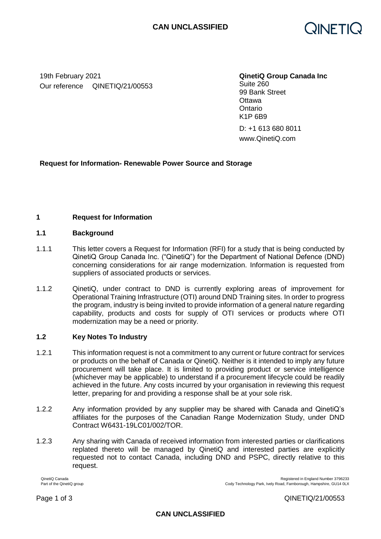

19th February 2021 **QinetiQ Group Canada Inc** Our reference QINETIQ/21/00553

Suite 260 99 Bank Street **Ottawa Ontario** K1P 6B9

D: +1 613 680 8011 www.QinetiQ.com

# **Request for Information- Renewable Power Source and Storage**

## **1 Request for Information**

### **1.1 Background**

- 1.1.1 This letter covers a Request for Information (RFI) for a study that is being conducted by QinetiQ Group Canada Inc. ("QinetiQ") for the Department of National Defence (DND) concerning considerations for air range modernization. Information is requested from suppliers of associated products or services.
- 1.1.2 QinetiQ, under contract to DND is currently exploring areas of improvement for Operational Training Infrastructure (OTI) around DND Training sites. In order to progress the program, industry is being invited to provide information of a general nature regarding capability, products and costs for supply of OTI services or products where OTI modernization may be a need or priority.

## **1.2 Key Notes To Industry**

- 1.2.1 This information request is not a commitment to any current or future contract for services or products on the behalf of Canada or QinetiQ. Neither is it intended to imply any future procurement will take place. It is limited to providing product or service intelligence (whichever may be applicable) to understand if a procurement lifecycle could be readily achieved in the future. Any costs incurred by your organisation in reviewing this request letter, preparing for and providing a response shall be at your sole risk.
- 1.2.2 Any information provided by any supplier may be shared with Canada and QinetiQ's affiliates for the purposes of the Canadian Range Modernization Study, under DND Contract W6431-19LC01/002/TOR.
- 1.2.3 Any sharing with Canada of received information from interested parties or clarifications replated thereto will be managed by QinetiQ and interested parties are explicitly requested not to contact Canada, including DND and PSPC, directly relative to this request.

QinetiQ Canada Registered in England Number 3796233<br>Part of the QinetiQ group<br>Part of the QinetiQ group

Cody Technology Park, Ively Road, Farnborough, Hampshire, GU14 0LX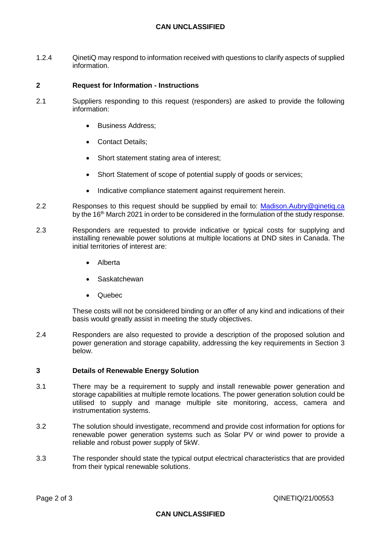# **CAN UNCLASSIFIED**

1.2.4 QinetiQ may respond to information received with questions to clarify aspects of supplied information.

### **2 Request for Information - Instructions**

- 2.1 Suppliers responding to this request (responders) are asked to provide the following information:
	- Business Address;
	- Contact Details:
	- Short statement stating area of interest;
	- Short Statement of scope of potential supply of goods or services;
	- Indicative compliance statement against requirement herein.
- 2.2 Responses to this request should be supplied by email to: [Madison.Aubry@qinetiq.ca](mailto:Madison.Aubry@qinetiq.ca) by the 16<sup>th</sup> March 2021 in order to be considered in the formulation of the study response.
- 2.3 Responders are requested to provide indicative or typical costs for supplying and installing renewable power solutions at multiple locations at DND sites in Canada. The initial territories of interest are:
	- Alberta
	- Saskatchewan
	- Quebec

These costs will not be considered binding or an offer of any kind and indications of their basis would greatly assist in meeting the study objectives.

2.4 Responders are also requested to provide a description of the proposed solution and power generation and storage capability, addressing the key requirements in Section 3 below.

#### **3 Details of Renewable Energy Solution**

- 3.1 There may be a requirement to supply and install renewable power generation and storage capabilities at multiple remote locations. The power generation solution could be utilised to supply and manage multiple site monitoring, access, camera and instrumentation systems.
- 3.2 The solution should investigate, recommend and provide cost information for options for renewable power generation systems such as Solar PV or wind power to provide a reliable and robust power supply of 5kW.
- 3.3 The responder should state the typical output electrical characteristics that are provided from their typical renewable solutions.